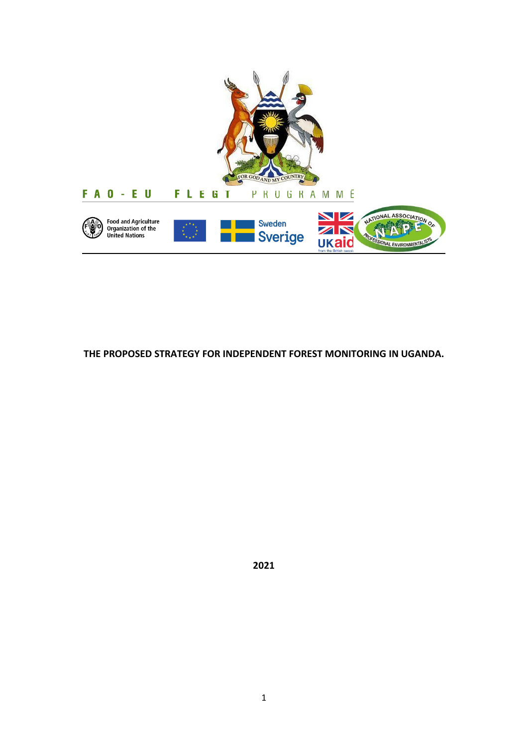

**THE PROPOSED STRATEGY FOR INDEPENDENT FOREST MONITORING IN UGANDA.**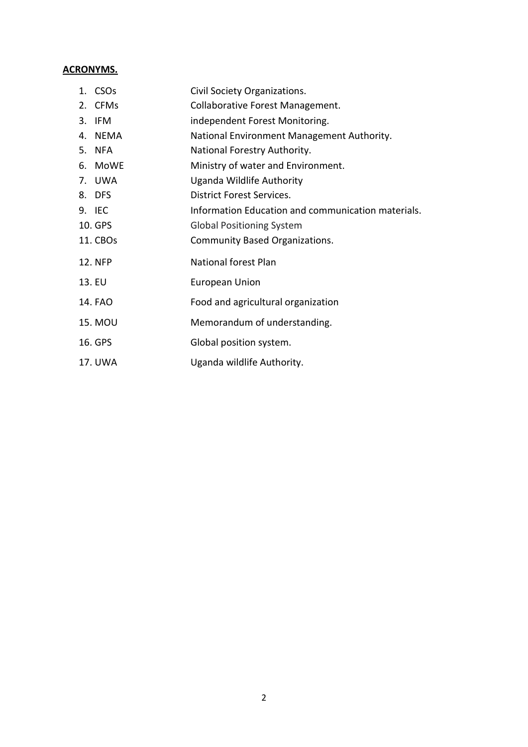## **ACRONYMS.**

| Civil Society Organizations.                                                                                                                                                              |
|-------------------------------------------------------------------------------------------------------------------------------------------------------------------------------------------|
| Collaborative Forest Management.                                                                                                                                                          |
| independent Forest Monitoring.                                                                                                                                                            |
| National Environment Management Authority.                                                                                                                                                |
| National Forestry Authority.                                                                                                                                                              |
| Ministry of water and Environment.                                                                                                                                                        |
| Uganda Wildlife Authority                                                                                                                                                                 |
| <b>District Forest Services.</b>                                                                                                                                                          |
| Information Education and communication materials.                                                                                                                                        |
| <b>Global Positioning System</b>                                                                                                                                                          |
| Community Based Organizations.                                                                                                                                                            |
| <b>National forest Plan</b>                                                                                                                                                               |
| European Union                                                                                                                                                                            |
| Food and agricultural organization                                                                                                                                                        |
| Memorandum of understanding.                                                                                                                                                              |
| Global position system.                                                                                                                                                                   |
| Uganda wildlife Authority.                                                                                                                                                                |
| 1. CSOs<br>2. CFMs<br>3. IFM<br>4. NEMA<br>5. NFA<br>6. MoWE<br>7. UWA<br>8. DFS<br>9. IEC<br>10. GPS<br>11. CBOs<br><b>12. NFP</b><br>13. EU<br>14. FAO<br>15. MOU<br>16. GPS<br>17. UWA |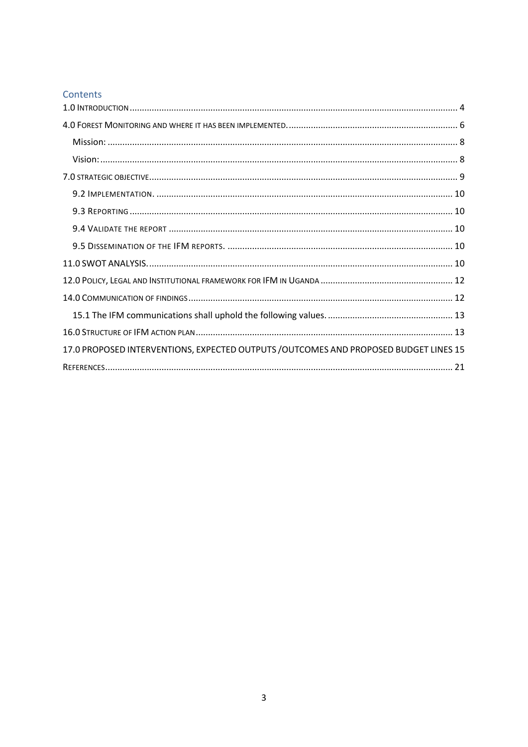## Contents

| 17.0 PROPOSED INTERVENTIONS, EXPECTED OUTPUTS / OUTCOMES AND PROPOSED BUDGET LINES 15 |  |
|---------------------------------------------------------------------------------------|--|
|                                                                                       |  |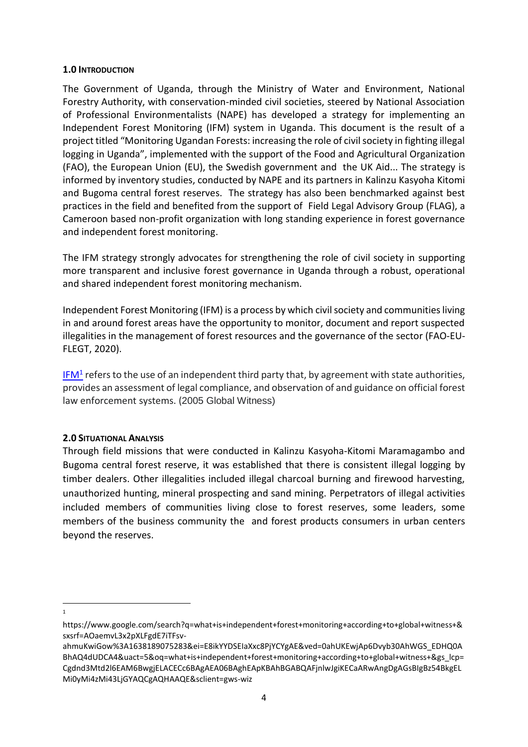#### <span id="page-3-0"></span>**1.0 INTRODUCTION**

The Government of Uganda, through the Ministry of Water and Environment, National Forestry Authority, with conservation-minded civil societies, steered by National Association of Professional Environmentalists (NAPE) has developed a strategy for implementing an Independent Forest Monitoring (IFM) system in Uganda. This document is the result of a project titled "Monitoring Ugandan Forests: increasing the role of civil society in fighting illegal logging in Uganda", implemented with the support of the Food and Agricultural Organization (FAO), the European Union (EU), the Swedish government and the UK Aid... The strategy is informed by inventory studies, conducted by NAPE and its partners in Kalinzu Kasyoha Kitomi and Bugoma central forest reserves. The strategy has also been benchmarked against best practices in the field and benefited from the support of Field Legal Advisory Group (FLAG), a Cameroon based non-profit organization with long standing experience in forest governance and independent forest monitoring.

The IFM strategy strongly advocates for strengthening the role of civil society in supporting more transparent and inclusive forest governance in Uganda through a robust, operational and shared independent forest monitoring mechanism.

Independent Forest Monitoring (IFM) is a process by which civil society and communities living in and around forest areas have the opportunity to monitor, document and report suspected illegalities in the management of forest resources and the governance of the sector (FAO-EU-FLEGT, 2020).

[IFM](https://www.google.com/search?q=what+is+independent+forest+monitoring+according+to+global+witness+&sxsrf=AOaemvL3x2pXLFgdE7iTFsv-ahmuKwiGow%3A1638189075283&ei=E8ikYYDSEIaXxc8PjYCYgAE&ved=0ahUKEwjAp6Dvyb30AhWGS_EDHQ0ABhAQ4dUDCA4&uact=5&oq=what+is+independent+forest+monitoring+according+to+global+witness+&gs_lcp=Cgdnd3Mtd2l6EAM6BwgjELACECc6BAgAEA06BAghEApKBAhBGABQAFjnlwJgiKECaARwAngDgAGsBIgBz54BkgELMi0yMi4zMi43LjGYAQCgAQHAAQE&sclient=gws-wiz)<sup>1</sup> refers to the use of an independent third party that, by agreement with state authorities, provides an assessment of legal compliance, and observation of and guidance on official forest law enforcement systems. (2005 Global Witness)

### **2.0 SITUATIONAL ANALYSIS**

Through field missions that were conducted in Kalinzu Kasyoha-Kitomi Maramagambo and Bugoma central forest reserve, it was established that there is consistent illegal logging by timber dealers. Other illegalities included illegal charcoal burning and firewood harvesting, unauthorized hunting, mineral prospecting and sand mining. Perpetrators of illegal activities included members of communities living close to forest reserves, some leaders, some members of the business community the and forest products consumers in urban centers beyond the reserves.

1 1

https://www.google.com/search?q=what+is+independent+forest+monitoring+according+to+global+witness+& sxsrf=AOaemvL3x2pXLFgdE7iTFsv-

ahmuKwiGow%3A1638189075283&ei=E8ikYYDSEIaXxc8PjYCYgAE&ved=0ahUKEwjAp6Dvyb30AhWGS\_EDHQ0A BhAQ4dUDCA4&uact=5&oq=what+is+independent+forest+monitoring+according+to+global+witness+&gs\_lcp= Cgdnd3Mtd2l6EAM6BwgjELACECc6BAgAEA06BAghEApKBAhBGABQAFjnlwJgiKECaARwAngDgAGsBIgBz54BkgEL Mi0yMi4zMi43LjGYAQCgAQHAAQE&sclient=gws-wiz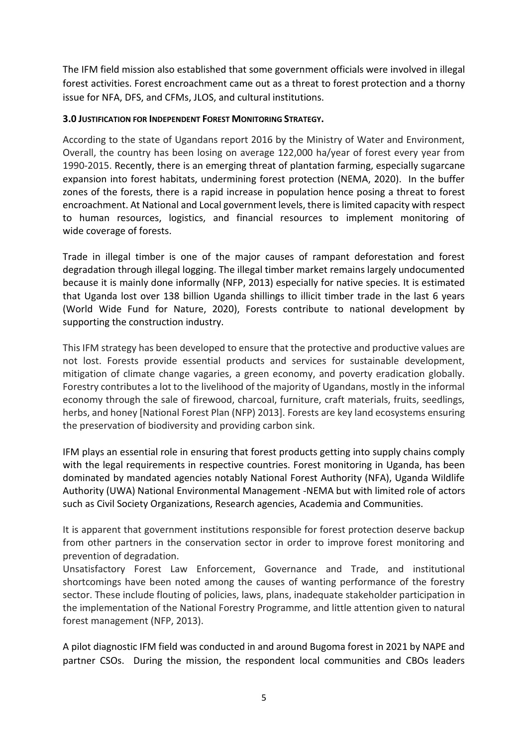The IFM field mission also established that some government officials were involved in illegal forest activities. Forest encroachment came out as a threat to forest protection and a thorny issue for NFA, DFS, and CFMs, JLOS, and cultural institutions.

### **3.0 JUSTIFICATION FOR INDEPENDENT FOREST MONITORING STRATEGY.**

According to the state of Ugandans report 2016 by the Ministry of Water and Environment, Overall, the country has been losing on average 122,000 ha/year of forest every year from 1990-2015. Recently, there is an emerging threat of plantation farming, especially sugarcane expansion into forest habitats, undermining forest protection (NEMA, 2020). In the buffer zones of the forests, there is a rapid increase in population hence posing a threat to forest encroachment. At National and Local government levels, there is limited capacity with respect to human resources, logistics, and financial resources to implement monitoring of wide coverage of forests.

Trade in illegal timber is one of the major causes of rampant deforestation and forest degradation through illegal logging. The illegal timber market remains largely undocumented because it is mainly done informally (NFP, 2013) especially for native species. It is estimated that Uganda lost over 138 billion Uganda shillings to illicit timber trade in the last 6 years (World Wide Fund for Nature, 2020), Forests contribute to national development by supporting the construction industry.

This IFM strategy has been developed to ensure that the protective and productive values are not lost. Forests provide essential products and services for sustainable development, mitigation of climate change vagaries, a green economy, and poverty eradication globally. Forestry contributes a lot to the livelihood of the majority of Ugandans, mostly in the informal economy through the sale of firewood, charcoal, furniture, craft materials, fruits, seedlings, herbs, and honey [National Forest Plan (NFP) 2013]. Forests are key land ecosystems ensuring the preservation of biodiversity and providing carbon sink.

IFM plays an essential role in ensuring that forest products getting into supply chains comply with the legal requirements in respective countries. Forest monitoring in Uganda, has been dominated by mandated agencies notably National Forest Authority (NFA), Uganda Wildlife Authority (UWA) National Environmental Management -NEMA but with limited role of actors such as Civil Society Organizations, Research agencies, Academia and Communities.

It is apparent that government institutions responsible for forest protection deserve backup from other partners in the conservation sector in order to improve forest monitoring and prevention of degradation.

Unsatisfactory Forest Law Enforcement, Governance and Trade, and institutional shortcomings have been noted among the causes of wanting performance of the forestry sector. These include flouting of policies, laws, plans, inadequate stakeholder participation in the implementation of the National Forestry Programme, and little attention given to natural forest management (NFP, 2013).

A pilot diagnostic IFM field was conducted in and around Bugoma forest in 2021 by NAPE and partner CSOs. During the mission, the respondent local communities and CBOs leaders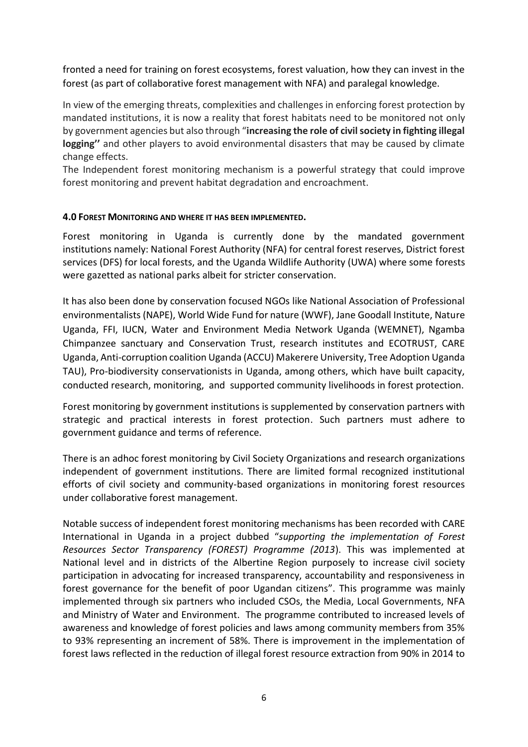fronted a need for training on forest ecosystems, forest valuation, how they can invest in the forest (as part of collaborative forest management with NFA) and paralegal knowledge.

In view of the emerging threats, complexities and challenges in enforcing forest protection by mandated institutions, it is now a reality that forest habitats need to be monitored not only by government agencies but also through "**increasing the role of civil society in fighting illegal logging''** and other players to avoid environmental disasters that may be caused by climate change effects.

The Independent forest monitoring mechanism is a powerful strategy that could improve forest monitoring and prevent habitat degradation and encroachment.

### <span id="page-5-0"></span>**4.0 FOREST MONITORING AND WHERE IT HAS BEEN IMPLEMENTED.**

Forest monitoring in Uganda is currently done by the mandated government institutions namely: National Forest Authority (NFA) for central forest reserves, District forest services (DFS) for local forests, and the Uganda Wildlife Authority (UWA) where some forests were gazetted as national parks albeit for stricter conservation.

It has also been done by conservation focused NGOs like National Association of Professional environmentalists (NAPE), World Wide Fund for nature (WWF), Jane Goodall Institute, Nature Uganda, FFI, IUCN, Water and Environment Media Network Uganda (WEMNET), Ngamba Chimpanzee sanctuary and Conservation Trust, research institutes and ECOTRUST, CARE Uganda, Anti-corruption coalition Uganda (ACCU) Makerere University, Tree Adoption Uganda TAU), Pro-biodiversity conservationists in Uganda, among others, which have built capacity, conducted research, monitoring, and supported community livelihoods in forest protection.

Forest monitoring by government institutions is supplemented by conservation partners with strategic and practical interests in forest protection. Such partners must adhere to government guidance and terms of reference.

There is an adhoc forest monitoring by Civil Society Organizations and research organizations independent of government institutions. There are limited formal recognized institutional efforts of civil society and community-based organizations in monitoring forest resources under collaborative forest management.

Notable success of independent forest monitoring mechanisms has been recorded with CARE International in Uganda in a project dubbed "*supporting the implementation of Forest Resources Sector Transparency (FOREST) Programme (2013*). This was implemented at National level and in districts of the Albertine Region purposely to increase civil society participation in advocating for increased transparency, accountability and responsiveness in forest governance for the benefit of poor Ugandan citizens". This programme was mainly implemented through six partners who included CSOs, the Media, Local Governments, NFA and Ministry of Water and Environment. The programme contributed to increased levels of awareness and knowledge of forest policies and laws among community members from 35% to 93% representing an increment of 58%. There is improvement in the implementation of forest laws reflected in the reduction of illegal forest resource extraction from 90% in 2014 to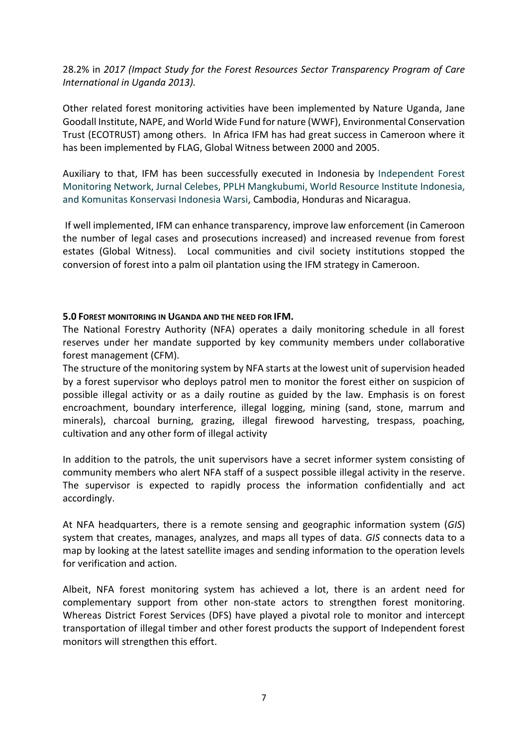28.2% in *2017 (Impact Study for the Forest Resources Sector Transparency Program of Care International in Uganda 2013).*

Other related forest monitoring activities have been implemented by Nature Uganda, Jane Goodall Institute, NAPE, and World Wide Fund for nature (WWF), Environmental Conservation Trust (ECOTRUST) among others. In Africa IFM has had great success in Cameroon where it has been implemented by FLAG, Global Witness between 2000 and 2005.

Auxiliary to that, IFM has been successfully executed in Indonesia by Independent Forest Monitoring Network, Jurnal Celebes, PPLH Mangkubumi, World Resource Institute Indonesia, and Komunitas Konservasi Indonesia Warsi, Cambodia, Honduras and Nicaragua.

If well implemented, IFM can enhance transparency, improve law enforcement (in Cameroon the number of legal cases and prosecutions increased) and increased revenue from forest estates (Global Witness). Local communities and civil society institutions stopped the conversion of forest into a palm oil plantation using the IFM strategy in Cameroon.

#### **5.0 FOREST MONITORING IN UGANDA AND THE NEED FOR IFM.**

The National Forestry Authority (NFA) operates a daily monitoring schedule in all forest reserves under her mandate supported by key community members under collaborative forest management (CFM).

The structure of the monitoring system by NFA starts at the lowest unit of supervision headed by a forest supervisor who deploys patrol men to monitor the forest either on suspicion of possible illegal activity or as a daily routine as guided by the law. Emphasis is on forest encroachment, boundary interference, illegal logging, mining (sand, stone, marrum and minerals), charcoal burning, grazing, illegal firewood harvesting, trespass, poaching, cultivation and any other form of illegal activity

In addition to the patrols, the unit supervisors have a secret informer system consisting of community members who alert NFA staff of a suspect possible illegal activity in the reserve. The supervisor is expected to rapidly process the information confidentially and act accordingly.

At NFA headquarters, there is a remote sensing and geographic information system (*GIS*) system that creates, manages, analyzes, and maps all types of data. *GIS* connects data to a map by looking at the latest satellite images and sending information to the operation levels for verification and action.

Albeit, NFA forest monitoring system has achieved a lot, there is an ardent need for complementary support from other non-state actors to strengthen forest monitoring. Whereas District Forest Services (DFS) have played a pivotal role to monitor and intercept transportation of illegal timber and other forest products the support of Independent forest monitors will strengthen this effort.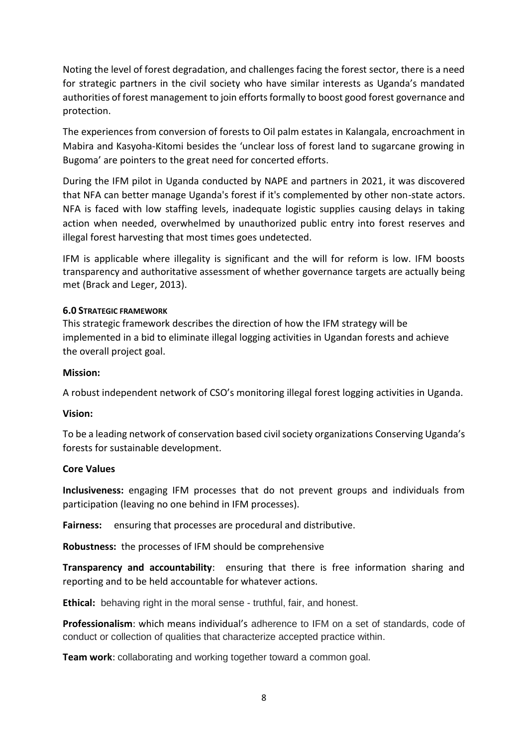Noting the level of forest degradation, and challenges facing the forest sector, there is a need for strategic partners in the civil society who have similar interests as Uganda's mandated authorities of forest management to join efforts formally to boost good forest governance and protection.

The experiences from conversion of forests to Oil palm estates in Kalangala, encroachment in Mabira and Kasyoha-Kitomi besides the 'unclear loss of forest land to sugarcane growing in Bugoma' are pointers to the great need for concerted efforts.

During the IFM pilot in Uganda conducted by NAPE and partners in 2021, it was discovered that NFA can better manage Uganda's forest if it's complemented by other non-state actors. NFA is faced with low staffing levels, inadequate logistic supplies causing delays in taking action when needed, overwhelmed by unauthorized public entry into forest reserves and illegal forest harvesting that most times goes undetected.

IFM is applicable where illegality is significant and the will for reform is low. IFM boosts transparency and authoritative assessment of whether governance targets are actually being met (Brack and Leger, 2013).

### **6.0 STRATEGIC FRAMEWORK**

This strategic framework describes the direction of how the IFM strategy will be implemented in a bid to eliminate illegal logging activities in Ugandan forests and achieve the overall project goal.

#### <span id="page-7-0"></span>**Mission:**

A robust independent network of CSO's monitoring illegal forest logging activities in Uganda.

#### <span id="page-7-1"></span>**Vision:**

To be a leading network of conservation based civil society organizations Conserving Uganda's forests for sustainable development.

#### **Core Values**

**Inclusiveness:** engaging IFM processes that do not prevent groups and individuals from participation (leaving no one behind in IFM processes).

**Fairness:** ensuring that processes are procedural and distributive.

**Robustness:** the processes of IFM should be comprehensive

**Transparency and accountability**: ensuring that there is free information sharing and reporting and to be held accountable for whatever actions.

**Ethical:** behaving right in the moral sense - truthful, fair, and honest.

**Professionalism**: which means individual's adherence to IFM on a set of standards, code of conduct or collection of qualities that characterize accepted practice within.

**Team work**: collaborating and working together toward a common goal.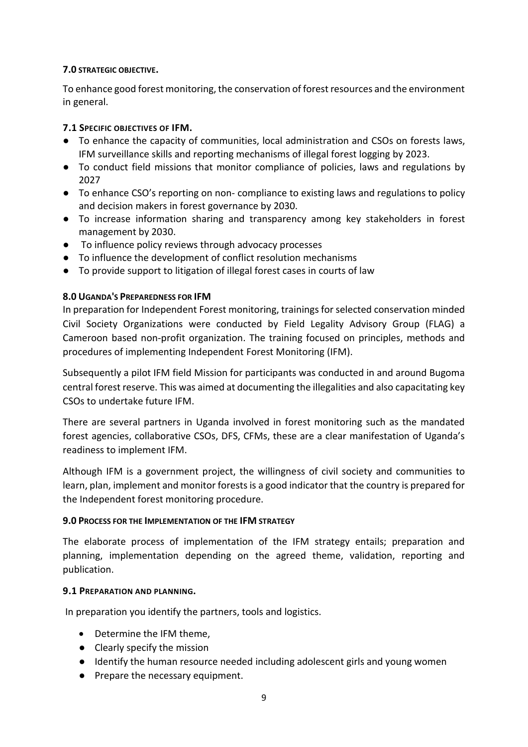### <span id="page-8-0"></span>**7.0 STRATEGIC OBJECTIVE.**

To enhance good forest monitoring, the conservation of forest resources and the environment in general.

## **7.1 SPECIFIC OBJECTIVES OF IFM.**

- To enhance the capacity of communities, local administration and CSOs on forests laws, IFM surveillance skills and reporting mechanisms of illegal forest logging by 2023.
- To conduct field missions that monitor compliance of policies, laws and regulations by 2027
- To enhance CSO's reporting on non- compliance to existing laws and regulations to policy and decision makers in forest governance by 2030.
- To increase information sharing and transparency among key stakeholders in forest management by 2030.
- To influence policy reviews through advocacy processes
- To influence the development of conflict resolution mechanisms
- To provide support to litigation of illegal forest cases in courts of law

### **8.0 UGANDA'S PREPAREDNESS FOR IFM**

In preparation for Independent Forest monitoring, trainings for selected conservation minded Civil Society Organizations were conducted by Field Legality Advisory Group (FLAG) a Cameroon based non-profit organization. The training focused on principles, methods and procedures of implementing Independent Forest Monitoring (IFM).

Subsequently a pilot IFM field Mission for participants was conducted in and around Bugoma central forest reserve. This was aimed at documenting the illegalities and also capacitating key CSOs to undertake future IFM.

There are several partners in Uganda involved in forest monitoring such as the mandated forest agencies, collaborative CSOs, DFS, CFMs, these are a clear manifestation of Uganda's readiness to implement IFM.

Although IFM is a government project, the willingness of civil society and communities to learn, plan, implement and monitor forests is a good indicator that the country is prepared for the Independent forest monitoring procedure.

### **9.0 PROCESS FOR THE IMPLEMENTATION OF THE IFM STRATEGY**

The elaborate process of implementation of the IFM strategy entails; preparation and planning, implementation depending on the agreed theme, validation, reporting and publication.

### **9.1 PREPARATION AND PLANNING.**

In preparation you identify the partners, tools and logistics.

- Determine the IFM theme,
- Clearly specify the mission
- Identify the human resource needed including adolescent girls and young women
- Prepare the necessary equipment.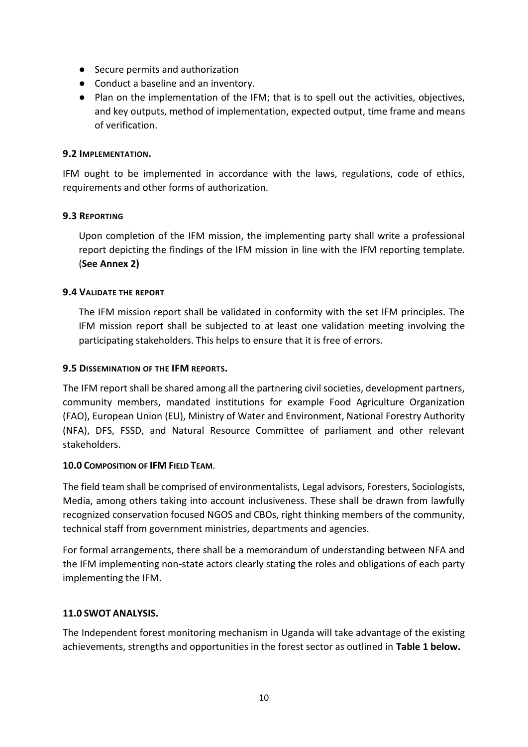- Secure permits and authorization
- Conduct a baseline and an inventory.
- Plan on the implementation of the IFM; that is to spell out the activities, objectives, and key outputs, method of implementation, expected output, time frame and means of verification.

### <span id="page-9-0"></span>**9.2 IMPLEMENTATION.**

IFM ought to be implemented in accordance with the laws, regulations, code of ethics, requirements and other forms of authorization.

### <span id="page-9-1"></span>**9.3 REPORTING**

Upon completion of the IFM mission, the implementing party shall write a professional report depicting the findings of the IFM mission in line with the IFM reporting template. (**See Annex 2)**

### <span id="page-9-2"></span>**9.4 VALIDATE THE REPORT**

The IFM mission report shall be validated in conformity with the set IFM principles. The IFM mission report shall be subjected to at least one validation meeting involving the participating stakeholders. This helps to ensure that it is free of errors.

### <span id="page-9-3"></span>**9.5 DISSEMINATION OF THE IFM REPORTS.**

The IFM report shall be shared among all the partnering civil societies, development partners, community members, mandated institutions for example Food Agriculture Organization (FAO), European Union (EU), Ministry of Water and Environment, National Forestry Authority (NFA), DFS, FSSD, and Natural Resource Committee of parliament and other relevant stakeholders.

#### **10.0 COMPOSITION OF IFM FIELD TEAM**.

The field team shall be comprised of environmentalists, Legal advisors, Foresters, Sociologists, Media, among others taking into account inclusiveness. These shall be drawn from lawfully recognized conservation focused NGOS and CBOs, right thinking members of the community, technical staff from government ministries, departments and agencies.

For formal arrangements, there shall be a memorandum of understanding between NFA and the IFM implementing non-state actors clearly stating the roles and obligations of each party implementing the IFM.

### <span id="page-9-4"></span>**11.0 SWOT ANALYSIS.**

The Independent forest monitoring mechanism in Uganda will take advantage of the existing achievements, strengths and opportunities in the forest sector as outlined in **Table 1 below.**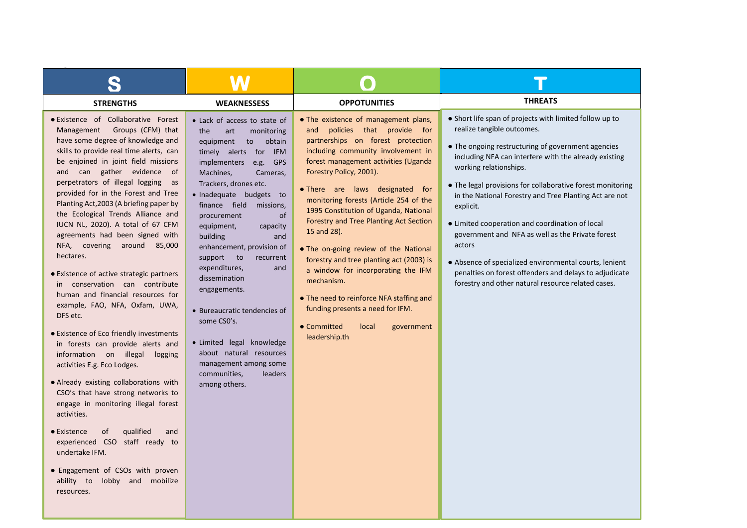| <b>STRENGTHS</b>                                                                                                                                                                                                                                                                                                                                                                                                                                                                                                                                                                                                                                                                                                                                                                                                                                                                                                                                                                                                                                                                                                                                                    | <b>WEAKNESSESS</b>                                                                                                                                                                                                                                                                                                                                                                                                                                                                                                                                                                                                                        | <b>OPPOTUNITIES</b>                                                                                                                                                                                                                                                                                                                                                                                                                                                                                                                                                                                                                                                                   | <b>THREATS</b>                                                                                                                                                                                                                                                                                                                                                                                                                                                                                                                                                                                                                                                 |
|---------------------------------------------------------------------------------------------------------------------------------------------------------------------------------------------------------------------------------------------------------------------------------------------------------------------------------------------------------------------------------------------------------------------------------------------------------------------------------------------------------------------------------------------------------------------------------------------------------------------------------------------------------------------------------------------------------------------------------------------------------------------------------------------------------------------------------------------------------------------------------------------------------------------------------------------------------------------------------------------------------------------------------------------------------------------------------------------------------------------------------------------------------------------|-------------------------------------------------------------------------------------------------------------------------------------------------------------------------------------------------------------------------------------------------------------------------------------------------------------------------------------------------------------------------------------------------------------------------------------------------------------------------------------------------------------------------------------------------------------------------------------------------------------------------------------------|---------------------------------------------------------------------------------------------------------------------------------------------------------------------------------------------------------------------------------------------------------------------------------------------------------------------------------------------------------------------------------------------------------------------------------------------------------------------------------------------------------------------------------------------------------------------------------------------------------------------------------------------------------------------------------------|----------------------------------------------------------------------------------------------------------------------------------------------------------------------------------------------------------------------------------------------------------------------------------------------------------------------------------------------------------------------------------------------------------------------------------------------------------------------------------------------------------------------------------------------------------------------------------------------------------------------------------------------------------------|
| ● Existence of Collaborative Forest<br>Management Groups (CFM) that<br>have some degree of knowledge and<br>skills to provide real time alerts, can<br>be enjoined in joint field missions<br>and can gather evidence of<br>perpetrators of illegal logging<br>as<br>provided for in the Forest and Tree<br>Planting Act, 2003 (A briefing paper by<br>the Ecological Trends Alliance and<br>IUCN NL, 2020). A total of 67 CFM<br>agreements had been signed with<br>NFA, covering around 85,000<br>hectares.<br>• Existence of active strategic partners<br>in conservation can contribute<br>human and financial resources for<br>example, FAO, NFA, Oxfam, UWA,<br>DFS etc.<br>• Existence of Eco friendly investments<br>in forests can provide alerts and<br>information on illegal<br>logging<br>activities E.g. Eco Lodges.<br>• Already existing collaborations with<br>CSO's that have strong networks to<br>engage in monitoring illegal forest<br>activities.<br>qualified<br>$\bullet$ Existence<br>0f<br>and<br>experienced CSO staff ready to<br>undertake IFM.<br>• Engagement of CSOs with proven<br>ability to<br>lobby and mobilize<br>resources. | • Lack of access to state of<br>the<br>art<br>monitoring<br>equipment<br>obtain<br>to<br>timely alerts for IFM<br>implementers<br><b>GPS</b><br>e.g.<br>Machines,<br>Cameras,<br>Trackers, drones etc.<br>· Inadequate budgets to<br>finance field<br>missions,<br>procurement<br><sub>of</sub><br>equipment,<br>capacity<br>building<br>and<br>enhancement, provision of<br>support to<br>recurrent<br>expenditures,<br>and<br>dissemination<br>engagements.<br>• Bureaucratic tendencies of<br>some CSO's.<br>• Limited legal knowledge<br>about natural resources<br>management among some<br>leaders<br>communities,<br>among others. | • The existence of management plans,<br>policies that provide for<br>and<br>partnerships on forest protection<br>including community involvement in<br>forest management activities (Uganda<br>Forestry Policy, 2001).<br>. There are laws designated for<br>monitoring forests (Article 254 of the<br>1995 Constitution of Uganda, National<br>Forestry and Tree Planting Act Section<br>15 and 28).<br>• The on-going review of the National<br>forestry and tree planting act (2003) is<br>a window for incorporating the IFM<br>mechanism.<br>• The need to reinforce NFA staffing and<br>funding presents a need for IFM.<br>• Committed<br>local<br>government<br>leadership.th | • Short life span of projects with limited follow up to<br>realize tangible outcomes.<br>• The ongoing restructuring of government agencies<br>including NFA can interfere with the already existing<br>working relationships.<br>• The legal provisions for collaborative forest monitoring<br>in the National Forestry and Tree Planting Act are not<br>explicit.<br>• Limited cooperation and coordination of local<br>government and NFA as well as the Private forest<br>actors<br>• Absence of specialized environmental courts, lenient<br>penalties on forest offenders and delays to adjudicate<br>forestry and other natural resource related cases. |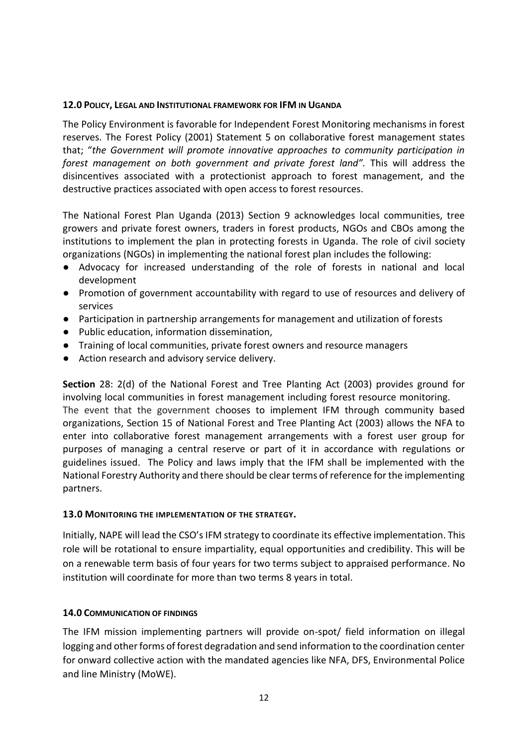#### <span id="page-11-0"></span>**12.0 POLICY, LEGAL AND INSTITUTIONAL FRAMEWORK FOR IFM IN UGANDA**

The Policy Environment is favorable for Independent Forest Monitoring mechanisms in forest reserves. The Forest Policy (2001) Statement 5 on collaborative forest management states that; "*the Government will promote innovative approaches to community participation in forest management on both government and private forest land".* This will address the disincentives associated with a protectionist approach to forest management, and the destructive practices associated with open access to forest resources.

The National Forest Plan Uganda (2013) Section 9 acknowledges local communities, tree growers and private forest owners, traders in forest products, NGOs and CBOs among the institutions to implement the plan in protecting forests in Uganda. The role of civil society organizations (NGOs) in implementing the national forest plan includes the following:

- Advocacy for increased understanding of the role of forests in national and local development
- Promotion of government accountability with regard to use of resources and delivery of services
- Participation in partnership arrangements for management and utilization of forests
- Public education, information dissemination,
- Training of local communities, private forest owners and resource managers
- Action research and advisory service delivery.

**Section** 28: 2(d) of the National Forest and Tree Planting Act (2003) provides ground for involving local communities in forest management including forest resource monitoring. The event that the government chooses to implement IFM through community based organizations, Section 15 of National Forest and Tree Planting Act (2003) allows the NFA to enter into collaborative forest management arrangements with a forest user group for purposes of managing a central reserve or part of it in accordance with regulations or guidelines issued. The Policy and laws imply that the IFM shall be implemented with the National Forestry Authority and there should be clear terms of reference for the implementing partners.

### **13.0 MONITORING THE IMPLEMENTATION OF THE STRATEGY.**

Initially, NAPE will lead the CSO's IFM strategy to coordinate its effective implementation. This role will be rotational to ensure impartiality, equal opportunities and credibility. This will be on a renewable term basis of four years for two terms subject to appraised performance. No institution will coordinate for more than two terms 8 years in total.

### <span id="page-11-1"></span>**14.0 COMMUNICATION OF FINDINGS**

The IFM mission implementing partners will provide on-spot/ field information on illegal logging and other forms of forest degradation and send information to the coordination center for onward collective action with the mandated agencies like NFA, DFS, Environmental Police and line Ministry (MoWE).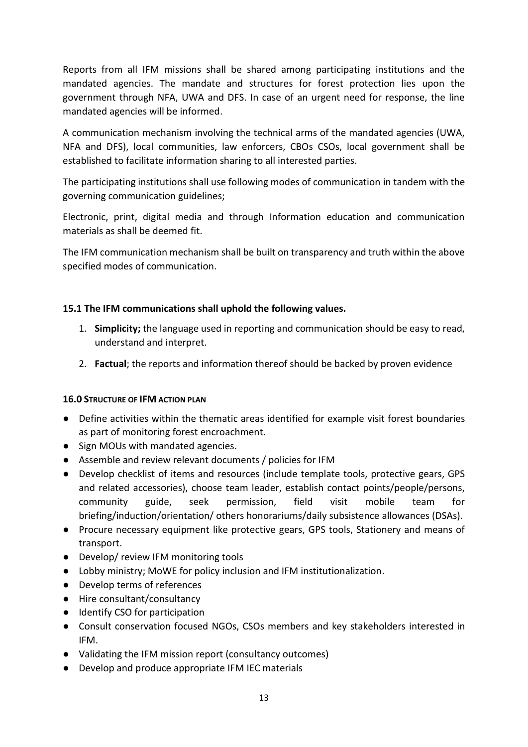Reports from all IFM missions shall be shared among participating institutions and the mandated agencies. The mandate and structures for forest protection lies upon the government through NFA, UWA and DFS. In case of an urgent need for response, the line mandated agencies will be informed.

A communication mechanism involving the technical arms of the mandated agencies (UWA, NFA and DFS), local communities, law enforcers, CBOs CSOs, local government shall be established to facilitate information sharing to all interested parties.

The participating institutions shall use following modes of communication in tandem with the governing communication guidelines;

Electronic, print, digital media and through Information education and communication materials as shall be deemed fit.

The IFM communication mechanism shall be built on transparency and truth within the above specified modes of communication.

## <span id="page-12-0"></span>**15.1 The IFM communications shall uphold the following values.**

- 1. **Simplicity;** the language used in reporting and communication should be easy to read, understand and interpret.
- 2. **Factual**; the reports and information thereof should be backed by proven evidence

### <span id="page-12-1"></span>**16.0 STRUCTURE OF IFM ACTION PLAN**

- Define activities within the thematic areas identified for example visit forest boundaries as part of monitoring forest encroachment.
- Sign MOUs with mandated agencies.
- Assemble and review relevant documents / policies for IFM
- Develop checklist of items and resources (include template tools, protective gears, GPS and related accessories), choose team leader, establish contact points/people/persons, community guide, seek permission, field visit mobile team for briefing/induction/orientation/ others honorariums/daily subsistence allowances (DSAs).
- Procure necessary equipment like protective gears, GPS tools, Stationery and means of transport.
- Develop/ review IFM monitoring tools
- Lobby ministry; MoWE for policy inclusion and IFM institutionalization.
- Develop terms of references
- Hire consultant/consultancy
- Identify CSO for participation
- Consult conservation focused NGOs, CSOs members and key stakeholders interested in IFM.
- Validating the IFM mission report (consultancy outcomes)
- Develop and produce appropriate IFM IEC materials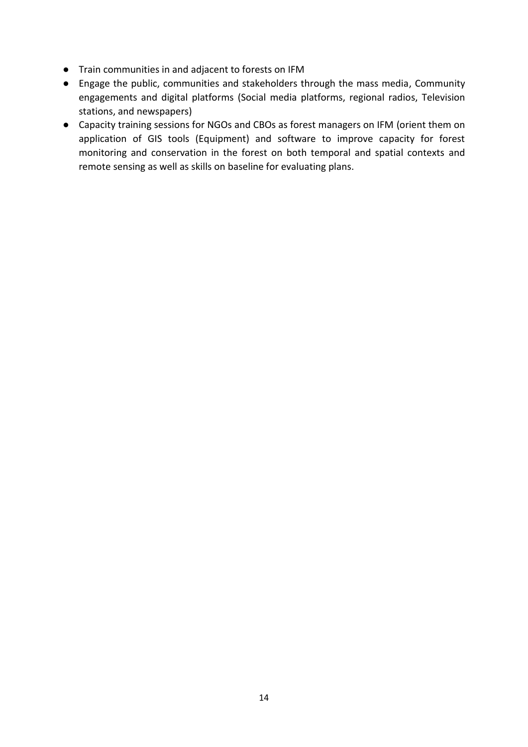- Train communities in and adjacent to forests on IFM
- Engage the public, communities and stakeholders through the mass media, Community engagements and digital platforms (Social media platforms, regional radios, Television stations, and newspapers)
- Capacity training sessions for NGOs and CBOs as forest managers on IFM (orient them on application of GIS tools (Equipment) and software to improve capacity for forest monitoring and conservation in the forest on both temporal and spatial contexts and remote sensing as well as skills on baseline for evaluating plans.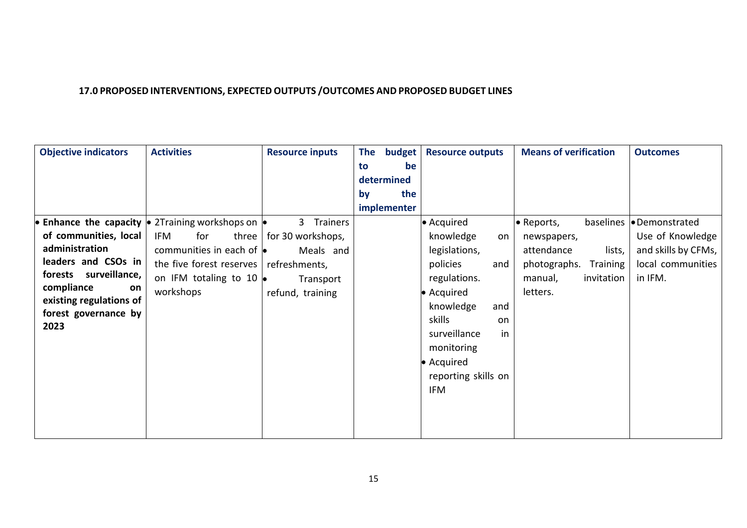# **17.0 PROPOSED INTERVENTIONS, EXPECTED OUTPUTS /OUTCOMES AND PROPOSED BUDGET LINES**

<span id="page-14-0"></span>

| <b>Objective indicators</b>  | <b>Activities</b>                                                                 | <b>Resource inputs</b> | budget<br>The | <b>Resource outputs</b> | <b>Means of verification</b> | <b>Outcomes</b>          |
|------------------------------|-----------------------------------------------------------------------------------|------------------------|---------------|-------------------------|------------------------------|--------------------------|
|                              |                                                                                   |                        | to<br>be      |                         |                              |                          |
|                              |                                                                                   |                        | determined    |                         |                              |                          |
|                              |                                                                                   |                        | the<br>by     |                         |                              |                          |
|                              |                                                                                   |                        | implementer   |                         |                              |                          |
|                              | • Enhance the capacity $  \cdot \rangle$ 2Training workshops on $  \cdot \rangle$ | Trainers<br>3          |               | • Acquired              | · Reports,                   | baselines   Demonstrated |
| of communities, local        | for<br>IFM<br>three                                                               | for 30 workshops,      |               | knowledge<br>on         | newspapers,                  | Use of Knowledge         |
| administration               | communities in each of $\bullet$                                                  | Meals and              |               | legislations,           | lists,<br>attendance         | and skills by CFMs,      |
| leaders and CSOs in          | the five forest reserves   refreshments,                                          |                        |               | policies<br>and         | photographs.<br>Training     | local communities        |
| forests surveillance,        | on IFM totaling to 10 $\bullet$                                                   | Transport              |               | regulations.            | invitation<br>manual,        | in IFM.                  |
| compliance<br>on             | workshops                                                                         | refund, training       |               | • Acquired              | letters.                     |                          |
| existing regulations of      |                                                                                   |                        |               | knowledge<br>and        |                              |                          |
| forest governance by<br>2023 |                                                                                   |                        |               | skills<br>on            |                              |                          |
|                              |                                                                                   |                        |               | surveillance<br>in      |                              |                          |
|                              |                                                                                   |                        |               | monitoring              |                              |                          |
|                              |                                                                                   |                        |               | • Acquired              |                              |                          |
|                              |                                                                                   |                        |               | reporting skills on     |                              |                          |
|                              |                                                                                   |                        |               | IFM                     |                              |                          |
|                              |                                                                                   |                        |               |                         |                              |                          |
|                              |                                                                                   |                        |               |                         |                              |                          |
|                              |                                                                                   |                        |               |                         |                              |                          |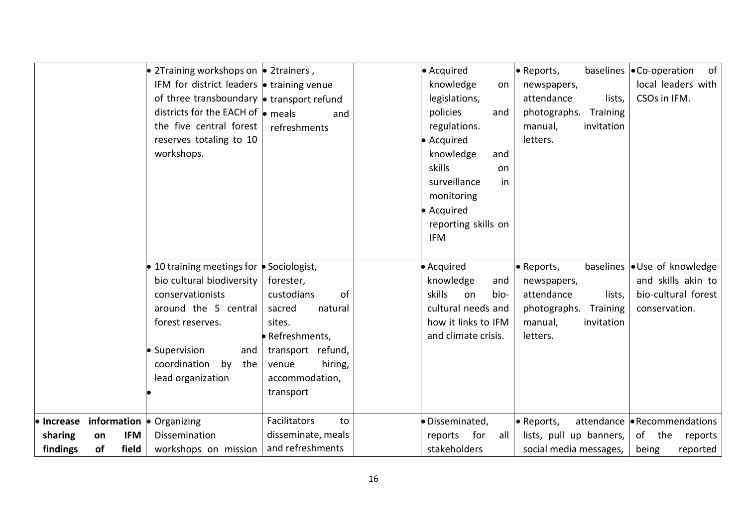| • 2Training workshops on $\bullet$ 2trainers,<br>IFM for district leaders $\bullet$ training venue<br>of three transboundary $\bullet$ transport refund<br>districts for the EACH of $\bullet$ meals<br>the five central forest<br>reserves totaling to 10<br>workshops. | and<br>refreshments                                                                     | • Acquired<br>knowledge<br>on<br>legislations,<br>policies<br>and<br>regulations.<br>· Acquired<br>knowledge<br>and<br>skills<br>on<br>surveillance<br>in<br>monitoring<br>• Acquired<br>reporting skills on<br><b>IFM</b> | • Reports,<br>newspapers,<br>attendance<br>lists,<br>photographs.<br>Training<br>invitation<br>manual,<br>letters. | baselines $\bullet$ Co-operation<br>of<br>local leaders with<br>CSOs in IFM. |
|--------------------------------------------------------------------------------------------------------------------------------------------------------------------------------------------------------------------------------------------------------------------------|-----------------------------------------------------------------------------------------|----------------------------------------------------------------------------------------------------------------------------------------------------------------------------------------------------------------------------|--------------------------------------------------------------------------------------------------------------------|------------------------------------------------------------------------------|
| $\bullet$ 10 training meetings for $\bullet$ Sociologist,<br>bio cultural biodiversity<br>conservationists                                                                                                                                                               | forester,<br>custodians<br>of                                                           | • Acquired<br>knowledge<br>and<br>skills<br>on<br>bio-                                                                                                                                                                     | • Reports,<br>newspapers,<br>attendance<br>lists,                                                                  | baselines • Use of knowledge<br>and skills akin to<br>bio-cultural forest    |
| around the 5 central<br>forest reserves.                                                                                                                                                                                                                                 | sacred<br>natural<br>sites.                                                             | cultural needs and<br>how it links to IFM                                                                                                                                                                                  | photographs.<br>Training<br>invitation<br>manual,                                                                  | conservation.                                                                |
| • Supervision<br>and<br>coordination<br>by<br>the<br>lead organization                                                                                                                                                                                                   | · Refreshments,<br>transport refund,<br>hiring,<br>venue<br>accommodation,<br>transport | and climate crisis.                                                                                                                                                                                                        | letters.                                                                                                           |                                                                              |
| <b>information <math>\bullet</math></b> Organizing<br>• Increase<br>sharing<br><b>IFM</b><br>Dissemination<br>on                                                                                                                                                         | Facilitators<br>to<br>disseminate, meals                                                | · Disseminated,<br>for<br>reports<br>all                                                                                                                                                                                   | • Reports,<br>lists, pull up banners,                                                                              | attendance • Recommendations<br>of<br>the<br>reports                         |
| findings<br>of<br>field<br>workshops on mission                                                                                                                                                                                                                          | and refreshments                                                                        | stakeholders                                                                                                                                                                                                               | social media messages,                                                                                             | being<br>reported                                                            |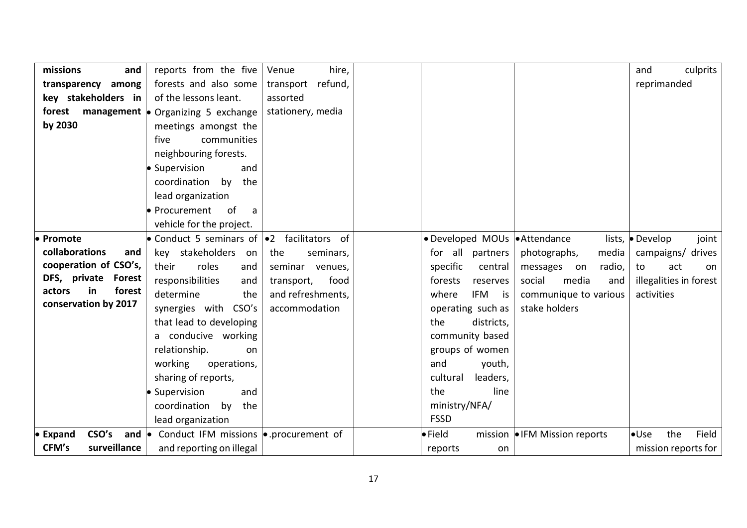| missions<br>and               | reports from the five                                       | hire,<br>Venue       |                               |                               | culprits<br>and         |
|-------------------------------|-------------------------------------------------------------|----------------------|-------------------------------|-------------------------------|-------------------------|
| transparency among            | forests and also some                                       | refund,<br>transport |                               |                               | reprimanded             |
| key stakeholders in           | of the lessons leant.                                       | assorted             |                               |                               |                         |
| forest                        | <b>management</b> • Organizing 5 exchange                   | stationery, media    |                               |                               |                         |
| by 2030                       | meetings amongst the                                        |                      |                               |                               |                         |
|                               | five<br>communities                                         |                      |                               |                               |                         |
|                               | neighbouring forests.                                       |                      |                               |                               |                         |
|                               | · Supervision<br>and                                        |                      |                               |                               |                         |
|                               | coordination<br>the<br>by                                   |                      |                               |                               |                         |
|                               | lead organization                                           |                      |                               |                               |                         |
|                               | · Procurement<br><sub>of</sub><br>a                         |                      |                               |                               |                         |
|                               |                                                             |                      |                               |                               |                         |
|                               | vehicle for the project.                                    |                      |                               |                               |                         |
| • Promote                     | • Conduct 5 seminars of $\vert \cdot \vert$ facilitators of |                      | • Developed MOUs   Attendance |                               | lists, Develop<br>joint |
| collaborations<br>and         | key stakeholders<br>on                                      | the<br>seminars,     | for all partners              | photographs,<br>media         | campaigns/ drives       |
| cooperation of CSO's,         | their<br>roles<br>and                                       | seminar venues,      | specific<br>central           | radio,<br>messages<br>on      | act<br>to<br>on.        |
| DFS, private<br><b>Forest</b> | responsibilities<br>and                                     | food<br>transport,   | forests<br>reserves           | social<br>media<br>and        | illegalities in forest  |
| forest<br>actors<br>in        | determine<br>the                                            | and refreshments,    | IFM<br>where<br>is            | communique to various         | activities              |
| conservation by 2017          | synergies with CSO's                                        | accommodation        | operating such as             | stake holders                 |                         |
|                               | that lead to developing                                     |                      | the<br>districts,             |                               |                         |
|                               | conducive working                                           |                      | community based               |                               |                         |
|                               | relationship.<br>on                                         |                      | groups of women               |                               |                         |
|                               | working<br>operations,                                      |                      | and<br>youth,                 |                               |                         |
|                               | sharing of reports,                                         |                      | cultural<br>leaders,          |                               |                         |
|                               | • Supervision<br>and                                        |                      | the<br>line                   |                               |                         |
|                               | coordination<br>by<br>the                                   |                      | ministry/NFA/                 |                               |                         |
|                               | lead organization                                           |                      | <b>FSSD</b>                   |                               |                         |
| CSO's<br>$\bullet$ Expand     | and • Conduct IFM missions • procurement of                 |                      | $\bullet$ Field               | mission   IFM Mission reports | the<br>Field<br>Use     |
| surveillance<br>CFM's         | and reporting on illegal                                    |                      | reports<br>on                 |                               | mission reports for     |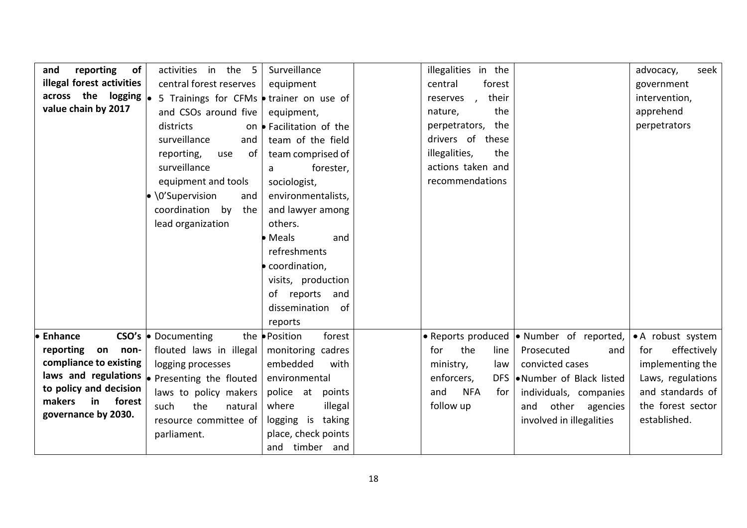| reporting<br>of<br>and               | activities in the<br>$5^{\circ}$                      | Surveillance                  | illegalities in the                                | advocacy,<br>seek  |
|--------------------------------------|-------------------------------------------------------|-------------------------------|----------------------------------------------------|--------------------|
| illegal forest activities            |                                                       |                               |                                                    |                    |
|                                      | central forest reserves                               | equipment                     | central<br>forest                                  | government         |
| across the logging $\vert_{\bullet}$ | 5 Trainings for CFMs • trainer on use of              |                               | their<br>reserves<br>$\overline{ }$                | intervention,      |
| value chain by 2017                  | and CSOs around five                                  | equipment,                    | the<br>nature,                                     | apprehend          |
|                                      | districts                                             | on • Facilitation of the      | perpetrators, the                                  | perpetrators       |
|                                      | surveillance<br>and                                   | team of the field             | drivers of these                                   |                    |
|                                      | reporting,<br>use<br>of                               | team comprised of             | illegalities,<br>the                               |                    |
|                                      | surveillance                                          | forester,<br>a                | actions taken and                                  |                    |
|                                      | equipment and tools                                   | sociologist,                  | recommendations                                    |                    |
|                                      | $\bullet$ \0'Supervision                              | environmentalists,            |                                                    |                    |
|                                      | and                                                   |                               |                                                    |                    |
|                                      | coordination by<br>the                                | and lawyer among              |                                                    |                    |
|                                      | lead organization                                     | others.                       |                                                    |                    |
|                                      |                                                       | • Meals<br>and                |                                                    |                    |
|                                      |                                                       | refreshments                  |                                                    |                    |
|                                      |                                                       | coordination,                 |                                                    |                    |
|                                      |                                                       | visits, production            |                                                    |                    |
|                                      |                                                       | of reports<br>and             |                                                    |                    |
|                                      |                                                       | dissemination of              |                                                    |                    |
|                                      |                                                       | reports                       |                                                    |                    |
| <b>Enhance</b>                       | <b>CSO's • Documenting</b>                            | the <b>Position</b><br>forest | • Reports produced $\bullet$ Number of reported,   | • A robust system  |
| reporting                            |                                                       |                               |                                                    |                    |
| on<br>non-                           | flouted laws in illegal                               | monitoring cadres             | the<br>line<br>Prosecuted<br>for<br>and            | effectively<br>for |
| compliance to existing               | logging processes                                     | embedded<br>with              | ministry,<br>convicted cases<br>law                | implementing the   |
|                                      | laws and regulations $\bullet$ Presenting the flouted | environmental                 | enforcers,<br>DFS .Number of Black listed          | Laws, regulations  |
| to policy and decision               | laws to policy makers                                 | police at<br>points           | and<br><b>NFA</b><br>for<br>individuals, companies | and standards of   |
| makers<br>forest<br>in               | the<br>such<br>natural                                | where<br>illegal              | follow up<br>other agencies<br>and                 | the forest sector  |
| governance by 2030.                  | resource committee of                                 | logging is taking             | involved in illegalities                           | established.       |
|                                      | parliament.                                           | place, check points           |                                                    |                    |
|                                      |                                                       | and timber and                |                                                    |                    |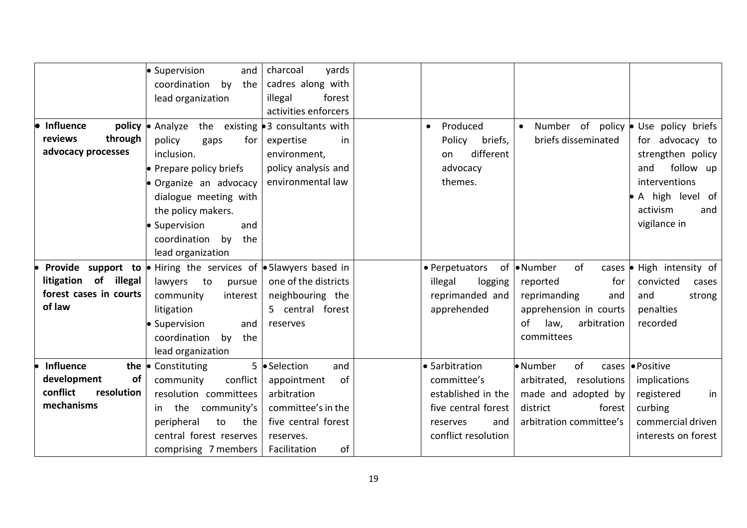|                            | · Supervision<br>and                                          | charcoal<br>yards                     |                       |                                              |                                   |
|----------------------------|---------------------------------------------------------------|---------------------------------------|-----------------------|----------------------------------------------|-----------------------------------|
|                            | coordination<br>by<br>the                                     | cadres along with                     |                       |                                              |                                   |
|                            | lead organization                                             | illegal<br>forest                     |                       |                                              |                                   |
|                            |                                                               | activities enforcers                  |                       |                                              |                                   |
| <b>Influence</b><br>policy | • Analyze<br>the                                              | existing $\bullet$ 3 consultants with | Produced<br>$\bullet$ | Number of policy $\bullet$ Use policy briefs |                                   |
| reviews<br>through         | policy<br>for<br>gaps                                         | expertise<br>in.                      | Policy<br>briefs,     | briefs disseminated                          | for advocacy to                   |
| advocacy processes         | inclusion.                                                    | environment,                          | different<br>on       |                                              | strengthen policy                 |
|                            | • Prepare policy briefs                                       | policy analysis and                   | advocacy              |                                              | follow up<br>and                  |
|                            | · Organize an advocacy                                        | environmental law                     | themes.               |                                              | interventions                     |
|                            | dialogue meeting with                                         |                                       |                       |                                              | • A high level of                 |
|                            | the policy makers.                                            |                                       |                       |                                              | activism<br>and                   |
|                            | · Supervision<br>and                                          |                                       |                       |                                              | vigilance in                      |
|                            | coordination<br>by<br>the                                     |                                       |                       |                                              |                                   |
|                            | lead organization                                             |                                       |                       |                                              |                                   |
| Provide support to         | $\bullet$ Hiring the services of $\bullet$ 5 lawyers based in |                                       | • Perpetuators        | of •Number<br>of                             | cases $\bullet$ High intensity of |
| litigation of illegal      | $\mathsf{to}$<br>lawyers<br>pursue                            | one of the districts                  | illegal<br>logging    | for<br>reported                              | convicted<br>cases                |
| forest cases in courts     | community<br>interest                                         | neighbouring the                      | reprimanded and       | reprimanding<br>and                          | and<br>strong                     |
| of law                     | litigation                                                    | 5 central forest                      | apprehended           | apprehension in courts                       | penalties                         |
|                            | • Supervision<br>and                                          | reserves                              |                       | arbitration<br>of<br>law,                    | recorded                          |
|                            | coordination<br>the<br>by                                     |                                       |                       | committees                                   |                                   |
|                            | lead organization                                             |                                       |                       |                                              |                                   |
| <b>Influence</b><br>the    | $\bullet$ Constituting                                        | 5   Selection<br>and                  | • Sarbitration        | • Number<br>of                               | cases <b>.</b> Positive           |
| development<br>of          | conflict<br>community                                         | of<br>appointment                     | committee's           | resolutions<br>arbitrated,                   | implications                      |
| conflict<br>resolution     | resolution committees                                         | arbitration                           | established in the    | made and adopted by                          | registered<br>in                  |
| mechanisms                 | community's<br>the<br>in l                                    | committee's in the                    | five central forest   | district<br>forest                           | curbing                           |
|                            | peripheral<br>the<br>to                                       | five central forest                   | reserves<br>and       | arbitration committee's                      | commercial driven                 |
|                            | central forest reserves                                       | reserves.                             | conflict resolution   |                                              | interests on forest               |
|                            | comprising 7 members                                          | of<br>Facilitation                    |                       |                                              |                                   |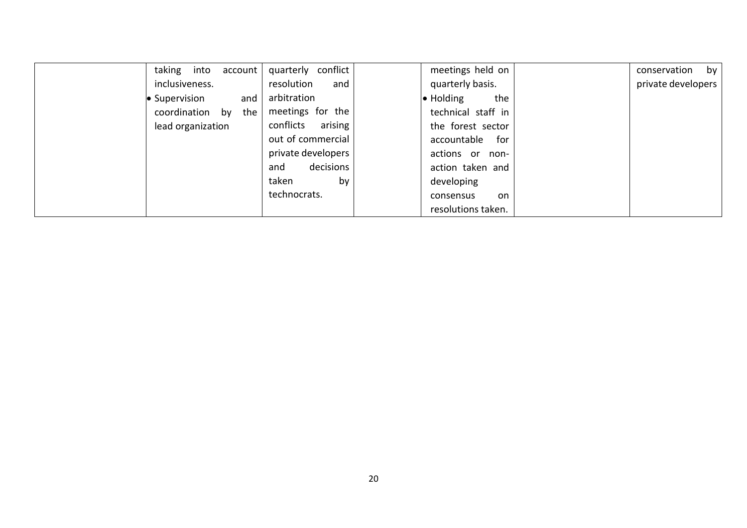| taking<br>into<br>account | conflict<br>quarterly | meetings held on         | conservation<br>by |
|---------------------------|-----------------------|--------------------------|--------------------|
| inclusiveness.            | resolution<br>and     | quarterly basis.         | private developers |
| • Supervision<br>and      | arbitration           | $\bullet$ Holding<br>the |                    |
| coordination by<br>the    | meetings for the      | technical staff in       |                    |
| lead organization         | arising<br>conflicts  | the forest sector        |                    |
|                           | out of commercial     | accountable<br>for       |                    |
|                           | private developers    | actions or<br>non-       |                    |
|                           | decisions<br>and      | action taken and         |                    |
|                           | taken<br>by           | developing               |                    |
|                           | technocrats.          | on.<br>consensus         |                    |
|                           |                       | resolutions taken.       |                    |